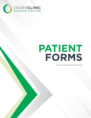

OGDEN CLINIC | [Company address]

# PATIENT FORMS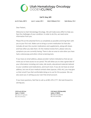

## Carl R. Gray, MD

Jan W. Davis, ANP-C Lynn C. Larsen, NP-C Kelly D Mikesell, PA-C Kylie Money, PA-C

Dear Patient,

Welcome to Utah Hematology Oncology. We will make every effort to help you face the challenges of your condition. In order to do this, we need some information from you.

Please fill out the attached forms as completely as possible and bring them with you to your first visit. Make sure to bring a current medication list that also includes all over-the-counter medications and supplements, along with doses and how often you take them. On the medical review form, please note any symptoms you are currently having. There is also an area to note when you have had a colonoscopy and other critical screening tests.

If you have an email address, please provide it where indicated so that we can invite you to have access to our portal. This will allow you to view a great deal of your information including visit notes, lab results, educational materials tailored to your condition and medications, and much more. If you do not have an email address, but one of your medical contacts does (spouse, child, etc), you may give us their email if you feel comfortable doing so to use for this purpose. We can also assist you in setting up your own free email account.

If you have questions, feel free to call us at 801-476-1777. We look forward to serving you.

5290 South 400 East Ogden, UT 84403 801.476.1777 (phone) 801.479.1479 (fax)

2132 North 1700 West #301 Layton, UT 84041 801.476.1777 (phone) 801.479.1479 (fax)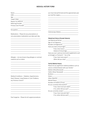#### MEDICAL HISTORY FORM

| Name                                                                                                                                                                                                                                                                                                                                         |
|----------------------------------------------------------------------------------------------------------------------------------------------------------------------------------------------------------------------------------------------------------------------------------------------------------------------------------------------|
| $\begin{picture}(150,10) \put(0,0){\line(1,0){100}} \put(15,0){\line(1,0){100}} \put(15,0){\line(1,0){100}} \put(15,0){\line(1,0){100}} \put(15,0){\line(1,0){100}} \put(15,0){\line(1,0){100}} \put(15,0){\line(1,0){100}} \put(15,0){\line(1,0){100}} \put(15,0){\line(1,0){100}} \put(15,0){\line(1,0){100}} \put(15,0){\line(1,0){100}}$ |
|                                                                                                                                                                                                                                                                                                                                              |
|                                                                                                                                                                                                                                                                                                                                              |
| Reason For Referral [1986] [1986] [1986] [1986] [1986] [1986] [1986] [1986] [1986] [1986] [1986] [1986] [1986]                                                                                                                                                                                                                               |
| Referring Provider ____________________                                                                                                                                                                                                                                                                                                      |
| Primary Care Provider _____________________                                                                                                                                                                                                                                                                                                  |
|                                                                                                                                                                                                                                                                                                                                              |

Occupation

Medications – Please list any prescriptions or non-prescription medications you take each day

\_\_\_\_\_\_\_\_\_\_\_\_\_\_\_\_\_\_\_\_\_\_\_\_\_\_\_\_\_\_\_\_\_\_\_\_\_\_\_\_ \_\_\_\_\_\_\_\_\_\_\_\_\_\_\_\_\_\_\_\_\_\_\_\_\_\_\_\_\_\_\_\_\_\_\_\_\_\_\_\_ \_\_\_\_\_\_\_\_\_\_\_\_\_\_\_\_\_\_\_\_\_\_\_\_\_\_\_\_\_\_\_\_\_\_\_\_\_\_\_\_ \_\_\_\_\_\_\_\_\_\_\_\_\_\_\_\_\_\_\_\_\_\_\_\_\_\_\_\_\_\_\_\_\_\_\_\_\_\_\_\_ \_\_\_\_\_\_\_\_\_\_\_\_\_\_\_\_\_\_\_\_\_\_\_\_\_\_\_\_\_\_\_\_\_\_\_\_\_\_\_\_ \_\_\_\_\_\_\_\_\_\_\_\_\_\_\_\_\_\_\_\_\_\_\_\_\_\_\_\_\_\_\_\_\_\_\_\_\_\_\_\_ \_\_\_\_\_\_\_\_\_\_\_\_\_\_\_\_\_\_\_\_\_\_\_\_\_\_\_\_\_\_\_\_\_\_\_\_\_\_\_\_ \_\_\_\_\_\_\_\_\_\_\_\_\_\_\_\_\_\_\_\_\_\_\_\_\_\_\_\_\_\_\_\_\_\_\_\_\_\_\_\_

Allergies – List any known drug allergies or contrast material such as iodine

\_\_\_\_\_\_\_\_\_\_\_\_\_\_\_\_\_\_\_\_\_\_\_\_\_\_\_\_\_\_\_\_\_\_\_\_\_\_\_\_ \_\_\_\_\_\_\_\_\_\_\_\_\_\_\_\_\_\_\_\_\_\_\_\_\_\_\_\_\_\_\_\_\_\_\_\_\_\_\_\_ \_\_\_\_\_\_\_\_\_\_\_\_\_\_\_\_\_\_\_\_\_\_\_\_\_\_\_\_\_\_\_\_\_\_\_\_\_\_\_\_ \_\_\_\_\_\_\_\_\_\_\_\_\_\_\_\_\_\_\_\_\_\_\_\_\_\_\_\_\_\_\_\_\_\_\_\_\_\_\_\_ \_\_\_\_\_\_\_\_\_\_\_\_\_\_\_\_\_\_\_\_\_\_\_\_\_\_\_\_\_\_\_\_\_\_\_\_\_\_\_\_ \_\_\_\_\_\_\_\_\_\_\_\_\_\_\_\_\_\_\_\_\_\_\_\_\_\_\_\_\_\_\_\_\_\_\_\_\_\_\_\_

Medical Conditions – Diabetes, Hypertensions, Heart Disease, Lung Disease or Liver Problems, any Previous Cancer?

\_\_\_\_\_\_\_\_\_\_\_\_\_\_\_\_\_\_\_\_\_\_\_\_\_\_\_\_\_\_\_\_\_\_\_\_\_\_\_\_ \_\_\_\_\_\_\_\_\_\_\_\_\_\_\_\_\_\_\_\_\_\_\_\_\_\_\_\_\_\_\_\_\_\_\_\_\_\_\_\_ \_\_\_\_\_\_\_\_\_\_\_\_\_\_\_\_\_\_\_\_\_\_\_\_\_\_\_\_\_\_\_\_\_\_\_\_\_\_\_\_ \_\_\_\_\_\_\_\_\_\_\_\_\_\_\_\_\_\_\_\_\_\_\_\_\_\_\_\_\_\_\_\_\_\_\_\_\_\_\_\_ \_\_\_\_\_\_\_\_\_\_\_\_\_\_\_\_\_\_\_\_\_\_\_\_\_\_\_\_\_\_\_\_\_\_\_\_\_\_\_\_ \_\_\_\_\_\_\_\_\_\_\_\_\_\_\_\_\_\_\_\_\_\_\_\_\_\_\_\_\_\_\_\_\_\_\_\_\_\_\_\_

Past Surgeries – Please list all surgical procedures

you have had performed and the approximate year you had the surgery\_\_\_\_\_\_\_\_\_\_\_\_\_\_\_\_\_\_\_\_\_\_\_\_

\_\_\_\_\_\_\_\_\_\_\_\_\_\_\_\_\_\_\_\_\_\_\_\_\_\_\_\_\_\_\_\_\_\_\_\_\_\_\_\_ \_\_\_\_\_\_\_\_\_\_\_\_\_\_\_\_\_\_\_\_\_\_\_\_\_\_\_\_\_\_\_\_\_\_\_\_\_\_\_\_ \_\_\_\_\_\_\_\_\_\_\_\_\_\_\_\_\_\_\_\_\_\_\_\_\_\_\_\_\_\_\_\_\_\_\_\_\_\_\_\_ \_\_\_\_\_\_\_\_\_\_\_\_\_\_\_\_\_\_\_\_\_\_\_\_\_\_\_\_\_\_\_\_\_\_\_\_\_\_\_\_ \_\_\_\_\_\_\_\_\_\_\_\_\_\_\_\_\_\_\_\_\_\_\_\_\_\_\_\_\_\_\_\_\_\_\_\_\_\_\_\_ \_\_\_\_\_\_\_\_\_\_\_\_\_\_\_\_\_\_\_\_\_\_\_\_\_\_\_\_\_\_\_\_\_\_\_\_\_\_\_\_ \_\_\_\_\_\_\_\_\_\_\_\_\_\_\_\_\_\_\_\_\_\_\_\_\_\_\_\_\_\_\_\_\_\_\_\_\_\_\_\_

\_\_\_\_\_\_\_\_\_\_\_\_\_\_\_\_\_\_\_\_\_\_\_\_\_\_\_\_\_\_\_\_\_\_\_\_\_\_\_\_

Colonoscopy (Dates)\_\_\_\_\_\_\_\_\_\_\_\_\_\_\_\_\_\_\_\_\_\_\_\_

#### Obstetrical History (Female Patients)

| Last Menstrual Period _                          |
|--------------------------------------------------|
| Age of 1st Pregnancy                             |
| Number of Pregnancies                            |
| Have you had a miscarriage?                      |
| If yes, how many?                                |
| Date(s) of miscarriage                           |
| Have you ever used any hormonal supplements such |
| as Estrogen or Premarin? Yes or No               |
| If yes, how many years?                          |
| When did you stop?                               |

#### Family Medical History

Please list any significant medical problems such as cancer or blood disease with your family? Mother (Alive/Deceased) \_\_\_\_\_\_\_\_\_\_\_\_\_\_\_\_\_\_\_\_\_ Father (Alive/ Deceased) \_\_\_\_\_\_\_\_\_\_\_\_\_\_\_\_\_\_\_\_\_ Brothers \_\_\_\_\_\_\_\_\_\_\_\_\_\_\_\_\_\_\_\_\_\_\_\_\_\_\_\_\_\_\_\_\_\_ Sisters  $\overline{\phantom{a}}$ Other (Specify) \_\_\_\_\_\_\_\_\_\_\_\_\_\_\_\_\_\_\_\_\_\_\_\_\_\_\_\_\_ Marital Status **Exercise Status** and the status of the status of the status of the status of the status of the status of the status of the status of the status of the status of the status of the status of the status of the Number of Children (If any) Do you currently drink alcohol? \_\_\_\_\_\_\_\_\_\_\_\_\_\_\_\_ If yes, how much per week?\_\_\_\_\_\_\_\_\_\_\_\_ If no, when did you quit? \_\_\_\_\_\_\_\_\_\_\_\_\_\_ Do you currently smoke? If yes, how many per day? \_\_\_\_\_\_\_\_\_\_\_\_\_ If no, when did you quit?\_\_\_\_\_\_\_\_\_\_\_\_\_\_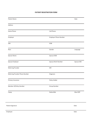#### **PATIENT REGISTRATION FORM**

| <b>Patient Name</b>             |                              | Date       |
|---------------------------------|------------------------------|------------|
| Address                         |                              |            |
| Home Phone                      | Cell Phone                   |            |
| Employer                        | <b>Employer Phone Number</b> |            |
| SSN                             | DOB                          |            |
| Race                            | Gender                       | Language   |
| Spouse Name                     | Spouse DOB                   |            |
| Spouse Employer                 | Spouse Work Number           | Spouse SSN |
| Referring Provider              | <b>NPI</b>                   |            |
| Referring Provider Phone Number | Diagnosis                    |            |
| Primary Insurance               | Policy Holder                |            |
| Member ID/Policy Number         | <b>Group Number</b>          |            |
| Copay                           | Deductible                   | Max OOP    |
|                                 |                              |            |

Patient Signature Date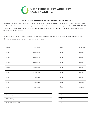

## AUTHORIZATION TO RELEASE PROTECTED HEALTH INFORMATION

Please list any and all persons to whom your Protected Health Information may be released. It is not necessary to list physicians or other providers involved in your care. You may list anyone you feel would need to have information about your condition. IF SOMEONE NOT ON THIS LIST REQUESTS INFORMATION, WE WILL NOT BE ABLE TO PROVIDE IT, EVEN IF THEY ARE RELATED TO YOU. You may add or delete individuals from this list at any time.

I hereby authorize Utah Hematology Oncology PC representatives to release my Protected Health Information to the persons listed below. I understand that they may also be used as emergency contacts.

| Name              | Relationship | Phone | Emergency? |
|-------------------|--------------|-------|------------|
| Name              | Relationship | Phone | Emergency? |
| Name              | Relationship | Phone | Emergency? |
| Name              | Relationship | Phone | Emergency? |
| Name              | Relationship | Phone | Emergency? |
| Name              | Relationship | Phone | Emergency? |
| Name              | Relationship | Phone | Emergency? |
| Name              | Relationship | Phone | Emergency? |
| Name              | Relationship | Phone | Emergency? |
|                   |              |       |            |
| Patient Signature |              | Date  |            |

Reviewed by Date and the Date of the Date of the Date of the Date of the Date of the Date of the Date of the Date of the Date of the Date of the Date of the Date of the Date of the Date of the Date of the Date of the Date

Entered into Centricity **Date**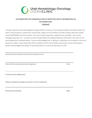

# AUTHORIZATION FOR COMMUNICATION OF PROTECTED HEALTH INFORMATION VIA ELECTRONIC MAIL *(Optional)*

I hereby authorize Utah Hematology Oncology (UHO) to convey to me protected health information (PHI) and other communication via electronic mail (email), subject to the limitations of UHO's billing, electronic health record (EHR/EMR) and other systems. This may include statements, appointment reminders, test results, message responses, etc. I accept any and all responsibility for safeguarding that information once sent to the email address(es) indicated below. I further acknowledge that, in doing so, individuals not included on the list of persons to whom I have authorized UHO to release my PHI may therefore have access to that information. I further acknowledge that release of said information is at the sole discretion of UHO.

Patient/Personal Representative Name (please print)

Patient/Personal Representative Signature Date Date Date

Preferred email address(es)

*(Please complete this page and return to the receptionist)*

Received and entered **Date** Date **Date** Date **Date** Date **Date**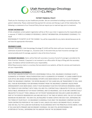

## PATIENT FINANCIAL POLICY

Thank you for choosing us as your healthcare provider. We are committed to building a successful physicianpatient relationship. Please understand that payment for services and therapy is part of that relationship. The following is a statement of our Financial Policy that we require you to read and sign prior to treatment.

## PATIENT INFORMATION

A fully completed, current patient registration will be on file in your chart. A signature by the responsible party is required. IF THERE IS A CHANGE OF RESIDENCE, CONTACT INFORMATION, OR INSURANCE COVERAGE, IT IS YOUR

RESPONSIBILITY TO NOTIFY US OF THE CHANGE. You will be responsible for any claims denied because we do not have the appropriate information.

## INSURANCE CLAIMS

PRIMARY INSURANCE: Utah Hematology Oncology PC (UHO) will file claims with your insurance upon your submission of proof of coverage (i.e., insurance card). In the event that you have insurance coverage, but cannot provide proof of coverage, payment is due at the time of service.

SECONDARY INSURANCE: Claims will be filed with secondary insurance if proof of coverage is provided at the time of service. However, if payment is not received in our office within 45 days of filing with the secondary payer, the balance will be transferred to your responsibility.

While filing insurance claims is a courtesy that we extend to our patients, all fees for services and treatments are your responsibility.

## PATIENT FINANCIAL RESPONSIBILITY

THE PATIENT AND/OR PATIENT'S ESTATE IS RESPONSIBLE FOR ALL FEES. INSURANCE COVERAGE IS NOT A GUARANTEE OF PAYMENT. PREAUTHORIZATION IS NOT A GUARANTEE OF PAYMENT. IF CLAIMS SUBMITTED BY OUR OFFICE ARE DENIED AFTER REASONABLE EFFORTS HAVE BEEN MADE BY UHO TO COLLECT PAYMENT FROM THE INSURANCE COMPANY, THE ENTIRE BALANCE OF THE CLAIMS WILL BE TRANSFERRED TO YOU, WHO WILL THEN BE RESPONSIBLE FOR OBTAINING PAYMENT FROM THE INSURANCE COMPANY UNLESS PRIOR ARRANGEMENTS HAVE BEEN MADE. EVEN IF YOUR INSURANCE PLAN PAYS FOR SERVICES RENDERED UNDER THE TERMS OF OUR CONTRACT WITH THEM, YOU ARE STILL CONTRACTUALLY OBLIGATED TO PAY ALL CO-PAYS, DEDUCTIBLES, MAXIMUM OUT-OF-POCKET EXPENSES, AND CO-INSURANCE, JUST AS WE ARE CONTRACTUALLY OBLIGATED TO COLLECT THEM. ANNUAL OUT-OF-POCKET MAXIMUMS MAY INCLUDE CLAIMS INCURRED AS PART OF THE SERVICES RENDERED BY UHO AND ARE DUE AT THE TIME OF SERVICE UNTIL THE OUT-OF-POCKET MAXIMUM HAS BEEN MET. YOU MAY STILL BE REQUIRED TO MAKE COPAYS FOR EACH VISIT, DEPENDING ON THE TERMS OF YOUR POLICY. CO-INSURANCE IS GENERALLY DUE ONCE THE INSURANCE COMPANY HAS PAID THEIR CONTRACTED PORTION OF THE CLAIM TO UHO, UNLESS YOU HAVE A SECONDARY POLICY, IN WHICH CASE WE WILL FILE THE CLAIM ON YOUR BEHALF IN ACCORDANCE WITH THE PRINCIPLES STATED ABOVE. EVEN IF YOU HAVE BOTH PRIMARY AND SECONDARY COVERAGE, YOU MAY STILL BE RESPONSIBLE FOR A PORTION OF THE BILL, DEPENDING ON THE AMOUNT PAID BY THE SECONDARY PAYER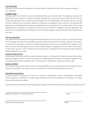#### CASH DISCOUNTS

If you pay cash for services or treatment, you will be offered a 25% discount from UHO's customary charge for non- drug items.

## PAYMENT PLANS

Therapies used in the treatment of cancer and blood disorders are extremely costly. Your physician purchases the drugs used in your treatment in advance. Insurance companies do not pay for all of your health care costs. We can set up a payment plan for you to enable you to discharge your contractual liability under the terms of your coverage. Pay plan installments must be made in addition to co-pays you are obligated to pay at each visit. The payment plan agreement is a binding contract for payment for goods and services provided to you. Pay plans require that you make regular payments as detailed in the agreement. Should you fail to fulfill your obligation under the agreement, you may be sent to a hospital for further treatment, sent to a collection agency, and/or referred to another physician for your care.

#### PAST DUE ACCOUNTS

Visa, MasterCard and American Express payments are accepted in person, by phone, or by fax. In the event that you do not discharge your financial responsibility, you account may be turned over to a collection agency. If the account is turned over to collections, the person or estate responsible for the account is responsible for all collection costs. Once an account has been placed with an outside collection agency, all payments must be made to that agency. Further, if your account is sent to collections, you may be sent to a hospital for further treatment and/or referred to another physician for your care.

#### ACCOUNT CONSULTATION

Our physicians and clinical staff do not discuss financial matters. Our billing staff is trained to discuss these matters and will be happy to help you. The primary contact for addressing financial matters is our Patient Advocate. If you still need assistance after consultation with our billing staff, our Administrator may be consulted, as well.

#### MEDICAL RECORDS

If you require a copy of your medical record, we will provide ONE for you at no charge. We require a written record request and, by statute, have up to 30 days from receipt of the written request to provide the records.

#### ASSIGNMENT AND RELEASE

I hereby authorize my physician to furnish my insurance company(ies) or their representatives information concerning illness or treatments. I hereby assign the payment of insurance benefits to my physician for medical services and treatments rendered.

I have reviewed and understand Utah Hematology Oncology PC's Patient Financial Policy and agree to abide by its terms.

Signature of patient or responsible person Date Date of Patients and Date Date Date Date Date

Received by UHO Employee **Date** Date of Provincial Association of the Date of Provincial Association of Date Date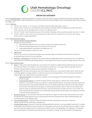

### ARBITRATION AGREEMENT

Article 1 Dispute Resolution By signing this Agreement, we agree to resolve any Claim for medical malpractice by the dispute resolution process described in this Agreement. Under this Agreement, you can pursue your claim and seek damages, but you are waiving your right to have it decided by a judge or jury.

#### Article 2 Definitions

- A. The term "we", "parties", or "us" means you, the Patient, and the Provider, depending on context.
- B. The term "Claim" means one or more Malpractice Actions defined in the Utah Health Care Malpractice Act (Utah Code 78-14- 3(15)). Each party may use any legal process to resolve non-malpractice claims.
- C. The term "Provider" means the physician, group of clinics and their employees, partners, associates, agents, successors, or estates.
- D. The term "Patient" or "you" means you and any person who makes a Claim for care given YOU, such as your heirs, spouse, children, parents or legal representatives.

#### Article 3 Dispute Resolution Options

- A. Methods available for Dispute Resolution.
	- We agree to resolve a Claims by:
		- 1. Working directly with each other to try and find a solution that resolves the Claim; OR
		- 2. Using non-binding mediation (each of us will bear½ of the cost); OR
		- 3. Using binding mediation as described in this Agreement. You

may use any of these methods to resolve your claim.

B. Legal Counsel

Each of us may choose to be represented by legal counsel during any stage of the dispute resolution process, but each of us will pay the fees and costs of our own attorneys.

C. Arbitration - Final Resolution If working with the provider using non-binding methods does not resolve your Claim, we agree that your Claim will be resolved through binding arbitration. We both agree that the decision reached in binding arbitration will be final.

#### Article 4 How to Arbitrate a Claim

- A. Notice To make a claim under this Agreement, mail a notice to the Provider by certified mail that briefly describes the nature of your Claim (the "Notice"). If the Notice is sent to the Provider by certified mail, it will suspend (toll) the applicable statute of limitations during the dispute resolution process described in this Agreement.
- B. Arbitrators Within 30 days of receiving the notice, the Provider will contact you. If you and the Provider cannot resolve the Claim by working together or through mediation, we will start the process of choosing arbitrators. There will be three (3) arbitrators, unless we agree that a single arbitrator may resolve the Claim.
	- 1. Appointed Arbitrators You will appoint an arbitrator of your choosing and all Provider(s) will appoint an arbitrator of their choosing.
	- 2. Jointly-Selected Arbitrator You and the Provider(s) will then jointly appoint an arbitrator (the "Jointly-Selected Arbitrator"). If you and the Provider cannot agree on a Jointly-Selected Arbitrator, the arbitrators selected by each of the parties will choose a Jointly-Selected arbitrator from a list of individuals approved as arbitrators by the state of federal courts of Utah. If the arbitrators cannot agree on a Jointly-Selected arbitrator, either or both of us may request that a Utah court select an individual from the lists above. Each party will pay their own fees and costs in such an action. The Jointly-Selected arbitrator will preside over the arbitration hearing and have all other powers of an arbitrator as set forth in the Utah Uniform Arbitration Act.
- C. Arbitration Expenses You will pay the fees and costs of the arbitrator you appoint and the Provider will pay the fees and costs of the arbitrator the Provider appoints. Each of us will also pay½ of the fees and expenses of the Jointly- Selected arbitrator and any other expenses of the arbitration panel.
- D. Final and Binding Decision A majority of three (3) arbitrators will make a final decision on the Claim. The decision shall be consistent with the Utah Uniform Arbitration act.
- E. All Claims May be Joined Any person or entity that could appropriately be named in a court proceeding ("Joined Party") is entitled to participate in this arbitration so long as that person or entity agrees to be bound by the arbitration decision ("Joinder"). Joinder may also include Claims against persons or entities that provided care prior to the signing date of this Agreement. A Joined Party does not participate in the selection of the arbitrators but is considered a "Provider" for all other purposes of this Agreement